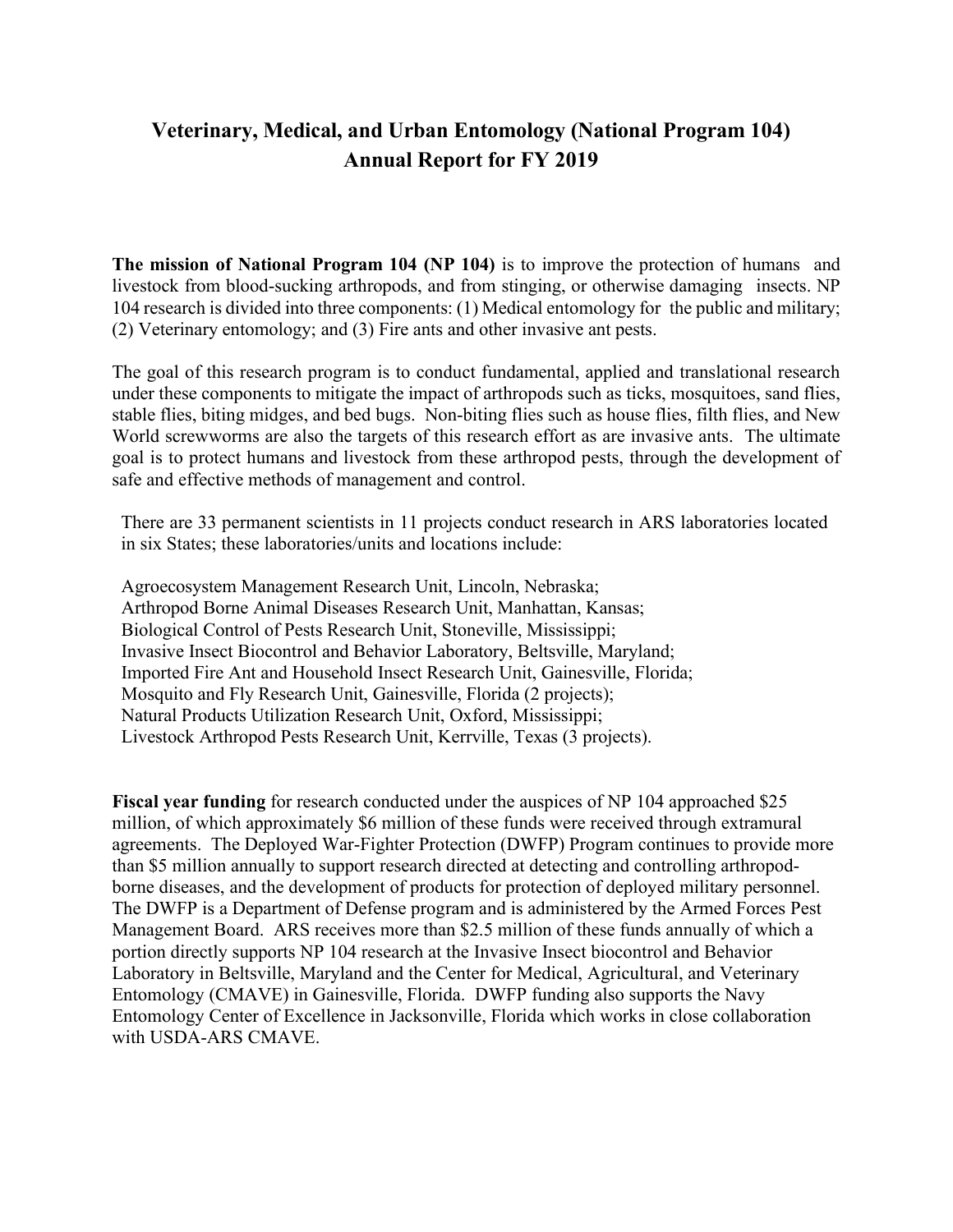# **Veterinary, Medical, and Urban Entomology (National Program 104) Annual Report for FY 2019**

**The mission of National Program 104 (NP 104)** is to improve the protection of humans and livestock from blood-sucking arthropods, and from stinging, or otherwise damaging insects. NP 104 research is divided into three components: (1) Medical entomology for the public and military; (2) Veterinary entomology; and (3) Fire ants and other invasive ant pests.

The goal of this research program is to conduct fundamental, applied and translational research under these components to mitigate the impact of arthropods such as ticks, mosquitoes, sand flies, stable flies, biting midges, and bed bugs. Non-biting flies such as house flies, filth flies, and New World screwworms are also the targets of this research effort as are invasive ants. The ultimate goal is to protect humans and livestock from these arthropod pests, through the development of safe and effective methods of management and control.

There are 33 permanent scientists in 11 projects conduct research in ARS laboratories located in six States; these laboratories/units and locations include:

Agroecosystem Management Research Unit, Lincoln, Nebraska; Arthropod Borne Animal Diseases Research Unit, Manhattan, Kansas; Biological Control of Pests Research Unit, Stoneville, Mississippi; Invasive Insect Biocontrol and Behavior Laboratory, Beltsville, Maryland; Imported Fire Ant and Household Insect Research Unit, Gainesville, Florida; Mosquito and Fly Research Unit, Gainesville, Florida (2 projects); Natural Products Utilization Research Unit, Oxford, Mississippi; Livestock Arthropod Pests Research Unit, Kerrville, Texas (3 projects).

**Fiscal year funding** for research conducted under the auspices of NP 104 approached \$25 million, of which approximately \$6 million of these funds were received through extramural agreements. The Deployed War-Fighter Protection (DWFP) Program continues to provide more than \$5 million annually to support research directed at detecting and controlling arthropodborne diseases, and the development of products for protection of deployed military personnel. The DWFP is a Department of Defense program and is administered by the Armed Forces Pest Management Board. ARS receives more than \$2.5 million of these funds annually of which a portion directly supports NP 104 research at the Invasive Insect biocontrol and Behavior Laboratory in Beltsville, Maryland and the Center for Medical, Agricultural, and Veterinary Entomology (CMAVE) in Gainesville, Florida. DWFP funding also supports the Navy Entomology Center of Excellence in Jacksonville, Florida which works in close collaboration with USDA-ARS CMAVE.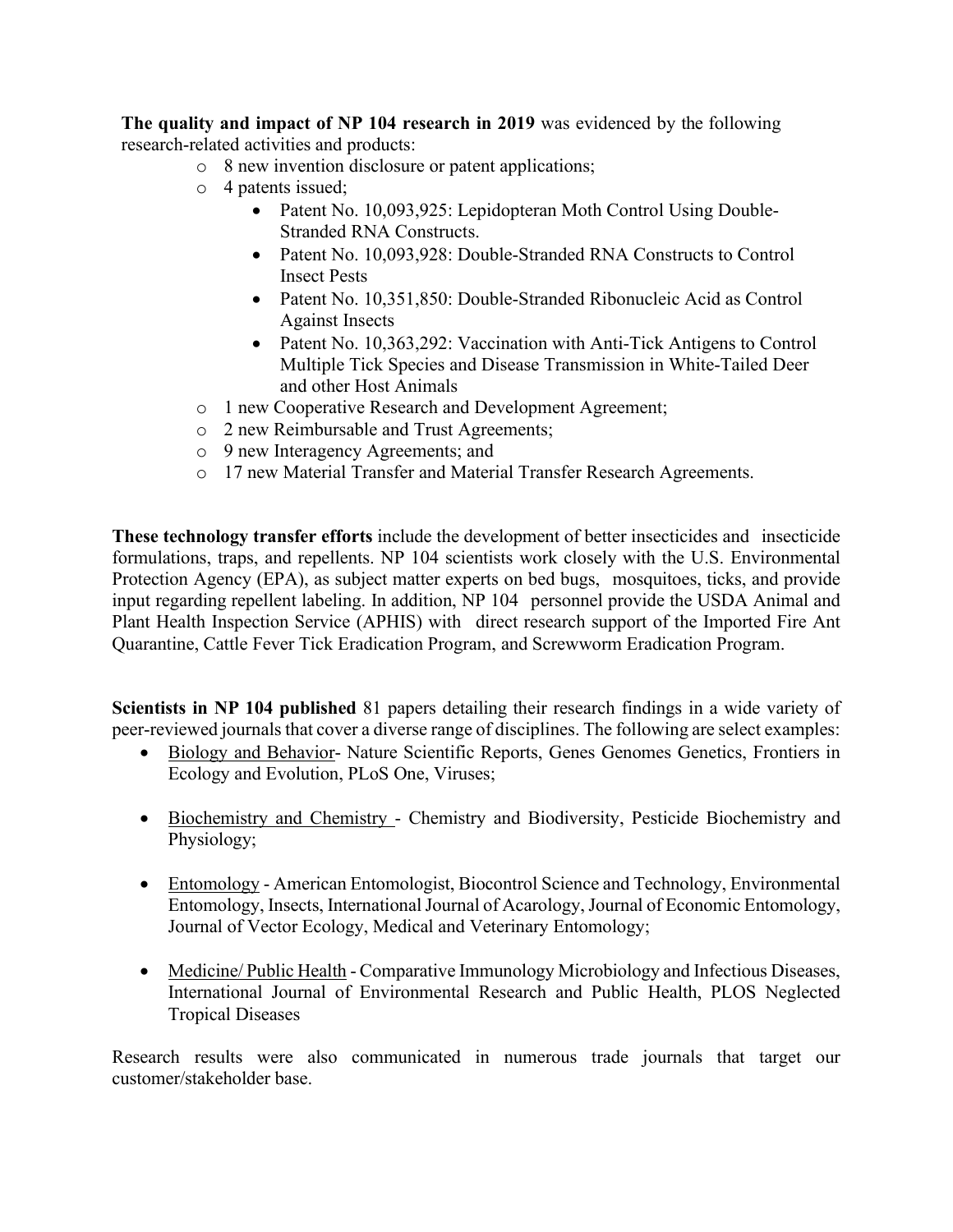**The quality and impact of NP 104 research in 2019** was evidenced by the following research-related activities and products:

- o 8 new invention disclosure or patent applications;
- o 4 patents issued;
	- Patent No. 10,093,925: Lepidopteran Moth Control Using Double-Stranded RNA Constructs.
	- Patent No. 10,093,928: Double-Stranded RNA Constructs to Control Insect Pests
	- Patent No. 10,351,850: Double-Stranded Ribonucleic Acid as Control Against Insects
	- Patent No. 10,363,292: Vaccination with Anti-Tick Antigens to Control Multiple Tick Species and Disease Transmission in White-Tailed Deer and other Host Animals
- o 1 new Cooperative Research and Development Agreement;
- o 2 new Reimbursable and Trust Agreements;
- o 9 new Interagency Agreements; and
- o 17 new Material Transfer and Material Transfer Research Agreements.

**These technology transfer efforts** include the development of better insecticides and insecticide formulations, traps, and repellents. NP 104 scientists work closely with the U.S. Environmental Protection Agency (EPA), as subject matter experts on bed bugs, mosquitoes, ticks, and provide input regarding repellent labeling. In addition, NP 104 personnel provide the USDA Animal and Plant Health Inspection Service (APHIS) with direct research support of the Imported Fire Ant Quarantine, Cattle Fever Tick Eradication Program, and Screwworm Eradication Program.

**Scientists in NP 104 published** 81 papers detailing their research findings in a wide variety of peer-reviewed journals that cover a diverse range of disciplines. The following are select examples:

- Biology and Behavior- Nature Scientific Reports, Genes Genomes Genetics, Frontiers in Ecology and Evolution, PLoS One, Viruses;
- Biochemistry and Chemistry Chemistry and Biodiversity, Pesticide Biochemistry and Physiology;
- Entomology American Entomologist, Biocontrol Science and Technology, Environmental Entomology, Insects, International Journal of Acarology, Journal of Economic Entomology, Journal of Vector Ecology, Medical and Veterinary Entomology;
- Medicine/ Public Health Comparative Immunology Microbiology and Infectious Diseases, International Journal of Environmental Research and Public Health, PLOS Neglected Tropical Diseases

Research results were also communicated in numerous trade journals that target our customer/stakeholder base.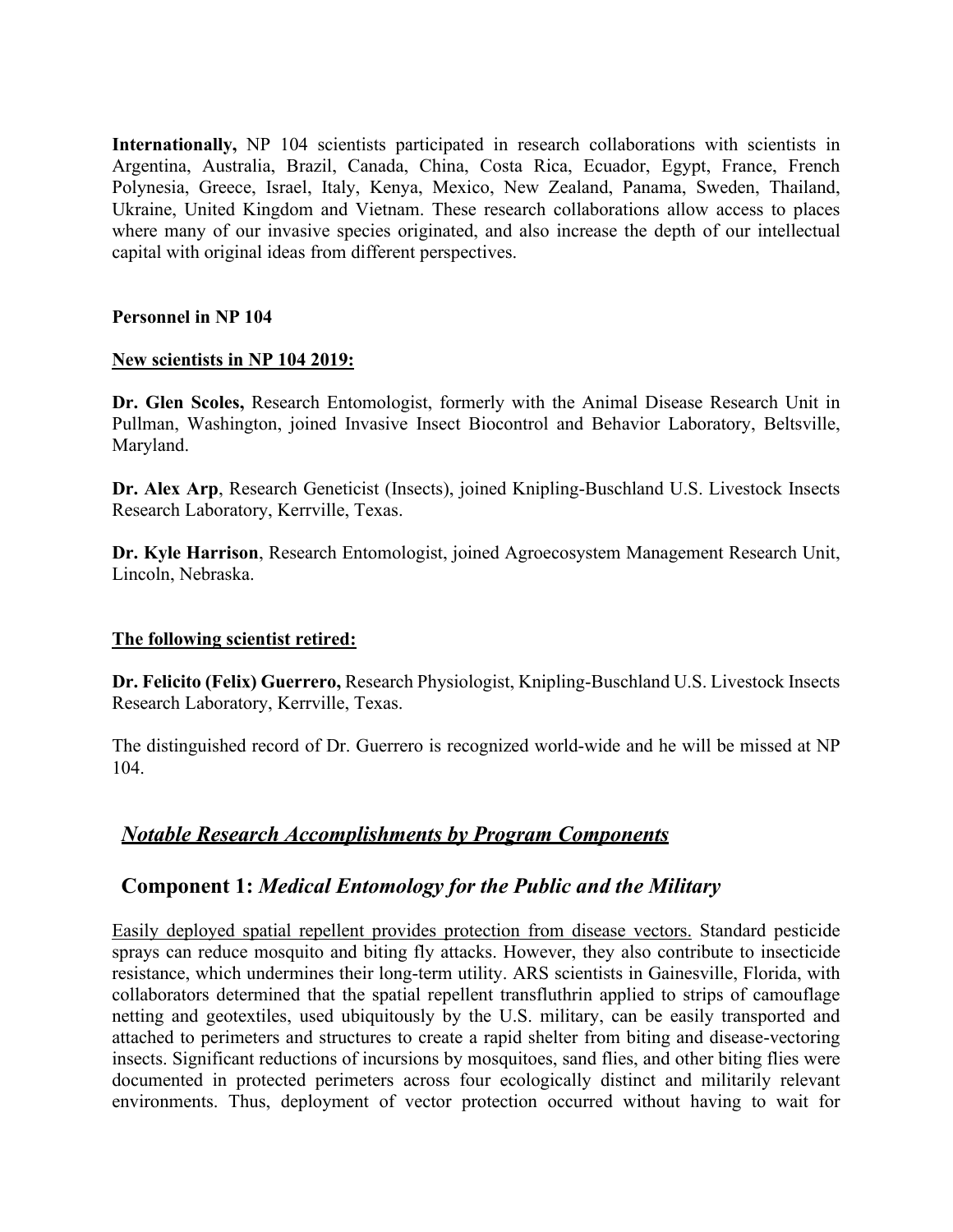**Internationally,** NP 104 scientists participated in research collaborations with scientists in Argentina, Australia, Brazil, Canada, China, Costa Rica, Ecuador, Egypt, France, French Polynesia, Greece, Israel, Italy, Kenya, Mexico, New Zealand, Panama, Sweden, Thailand, Ukraine, United Kingdom and Vietnam. These research collaborations allow access to places where many of our invasive species originated, and also increase the depth of our intellectual capital with original ideas from different perspectives.

### **Personnel in NP 104**

#### **New scientists in NP 104 2019:**

**Dr. Glen Scoles,** Research Entomologist, formerly with the Animal Disease Research Unit in Pullman, Washington, joined Invasive Insect Biocontrol and Behavior Laboratory, Beltsville, Maryland.

**Dr. Alex Arp**, Research Geneticist (Insects), joined Knipling-Buschland U.S. Livestock Insects Research Laboratory, Kerrville, Texas.

**Dr. Kyle Harrison**, Research Entomologist, joined Agroecosystem Management Research Unit, Lincoln, Nebraska.

### **The following scientist retired:**

**Dr. Felicito (Felix) Guerrero,** Research Physiologist, Knipling-Buschland U.S. Livestock Insects Research Laboratory, Kerrville, Texas.

The distinguished record of Dr. Guerrero is recognized world-wide and he will be missed at NP 104.

### *Notable Research Accomplishments by Program Components*

### **Component 1:** *Medical Entomology for the Public and the Military*

Easily deployed spatial repellent provides protection from disease vectors. Standard pesticide sprays can reduce mosquito and biting fly attacks. However, they also contribute to insecticide resistance, which undermines their long-term utility. ARS scientists in Gainesville, Florida, with collaborators determined that the spatial repellent transfluthrin applied to strips of camouflage netting and geotextiles, used ubiquitously by the U.S. military, can be easily transported and attached to perimeters and structures to create a rapid shelter from biting and disease-vectoring insects. Significant reductions of incursions by mosquitoes, sand flies, and other biting flies were documented in protected perimeters across four ecologically distinct and militarily relevant environments. Thus, deployment of vector protection occurred without having to wait for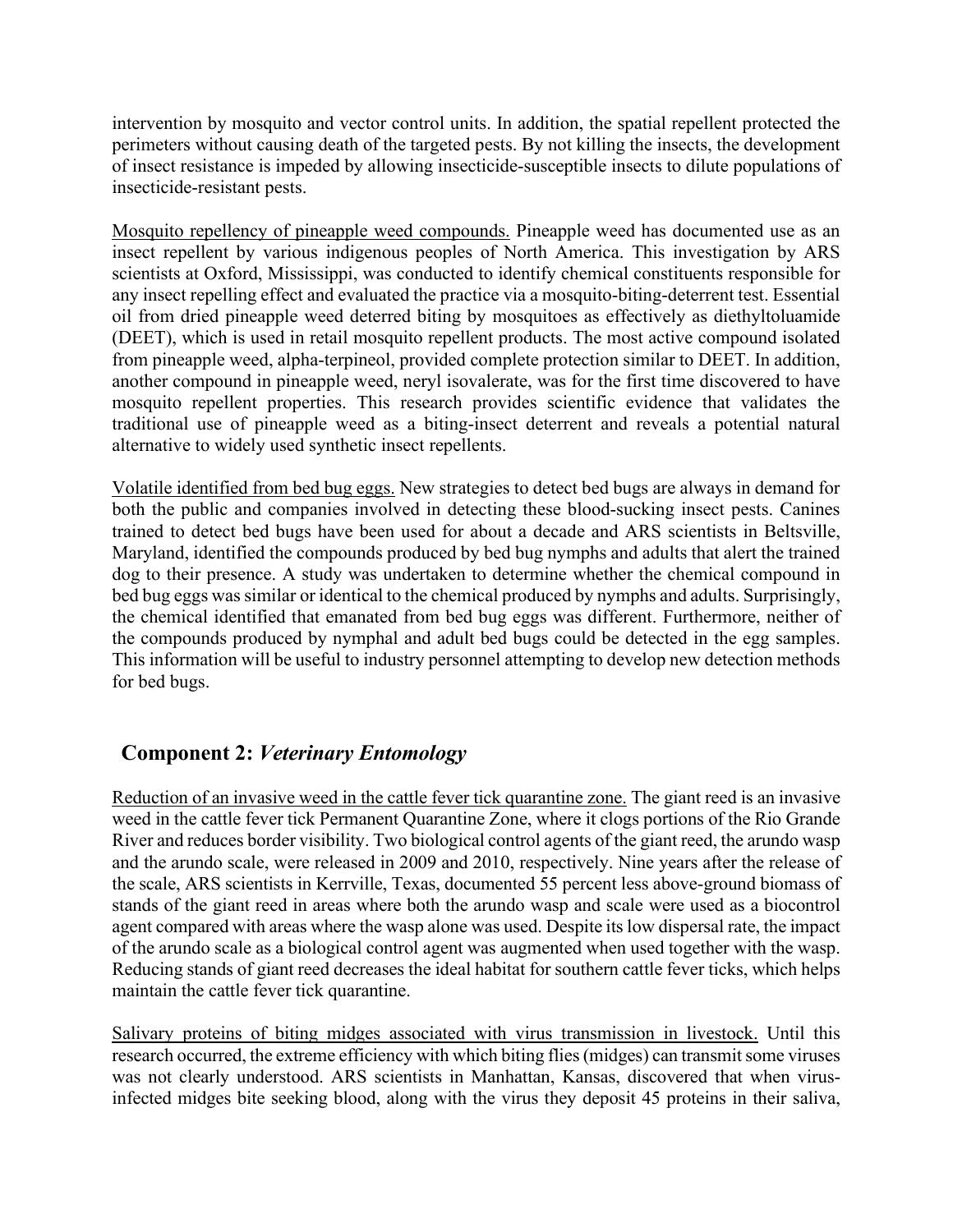intervention by mosquito and vector control units. In addition, the spatial repellent protected the perimeters without causing death of the targeted pests. By not killing the insects, the development of insect resistance is impeded by allowing insecticide-susceptible insects to dilute populations of insecticide-resistant pests.

Mosquito repellency of pineapple weed compounds. Pineapple weed has documented use as an insect repellent by various indigenous peoples of North America. This investigation by ARS scientists at Oxford, Mississippi, was conducted to identify chemical constituents responsible for any insect repelling effect and evaluated the practice via a mosquito-biting-deterrent test. Essential oil from dried pineapple weed deterred biting by mosquitoes as effectively as diethyltoluamide (DEET), which is used in retail mosquito repellent products. The most active compound isolated from pineapple weed, alpha-terpineol, provided complete protection similar to DEET. In addition, another compound in pineapple weed, neryl isovalerate, was for the first time discovered to have mosquito repellent properties. This research provides scientific evidence that validates the traditional use of pineapple weed as a biting-insect deterrent and reveals a potential natural alternative to widely used synthetic insect repellents.

Volatile identified from bed bug eggs. New strategies to detect bed bugs are always in demand for both the public and companies involved in detecting these blood-sucking insect pests. Canines trained to detect bed bugs have been used for about a decade and ARS scientists in Beltsville, Maryland, identified the compounds produced by bed bug nymphs and adults that alert the trained dog to their presence. A study was undertaken to determine whether the chemical compound in bed bug eggs was similar or identical to the chemical produced by nymphs and adults. Surprisingly, the chemical identified that emanated from bed bug eggs was different. Furthermore, neither of the compounds produced by nymphal and adult bed bugs could be detected in the egg samples. This information will be useful to industry personnel attempting to develop new detection methods for bed bugs.

# **Component 2:** *Veterinary Entomology*

Reduction of an invasive weed in the cattle fever tick quarantine zone. The giant reed is an invasive weed in the cattle fever tick Permanent Quarantine Zone, where it clogs portions of the Rio Grande River and reduces border visibility. Two biological control agents of the giant reed, the arundo wasp and the arundo scale, were released in 2009 and 2010, respectively. Nine years after the release of the scale, ARS scientists in Kerrville, Texas, documented 55 percent less above-ground biomass of stands of the giant reed in areas where both the arundo wasp and scale were used as a biocontrol agent compared with areas where the wasp alone was used. Despite its low dispersal rate, the impact of the arundo scale as a biological control agent was augmented when used together with the wasp. Reducing stands of giant reed decreases the ideal habitat for southern cattle fever ticks, which helps maintain the cattle fever tick quarantine.

Salivary proteins of biting midges associated with virus transmission in livestock. Until this research occurred, the extreme efficiency with which biting flies (midges) can transmit some viruses was not clearly understood. ARS scientists in Manhattan, Kansas, discovered that when virusinfected midges bite seeking blood, along with the virus they deposit 45 proteins in their saliva,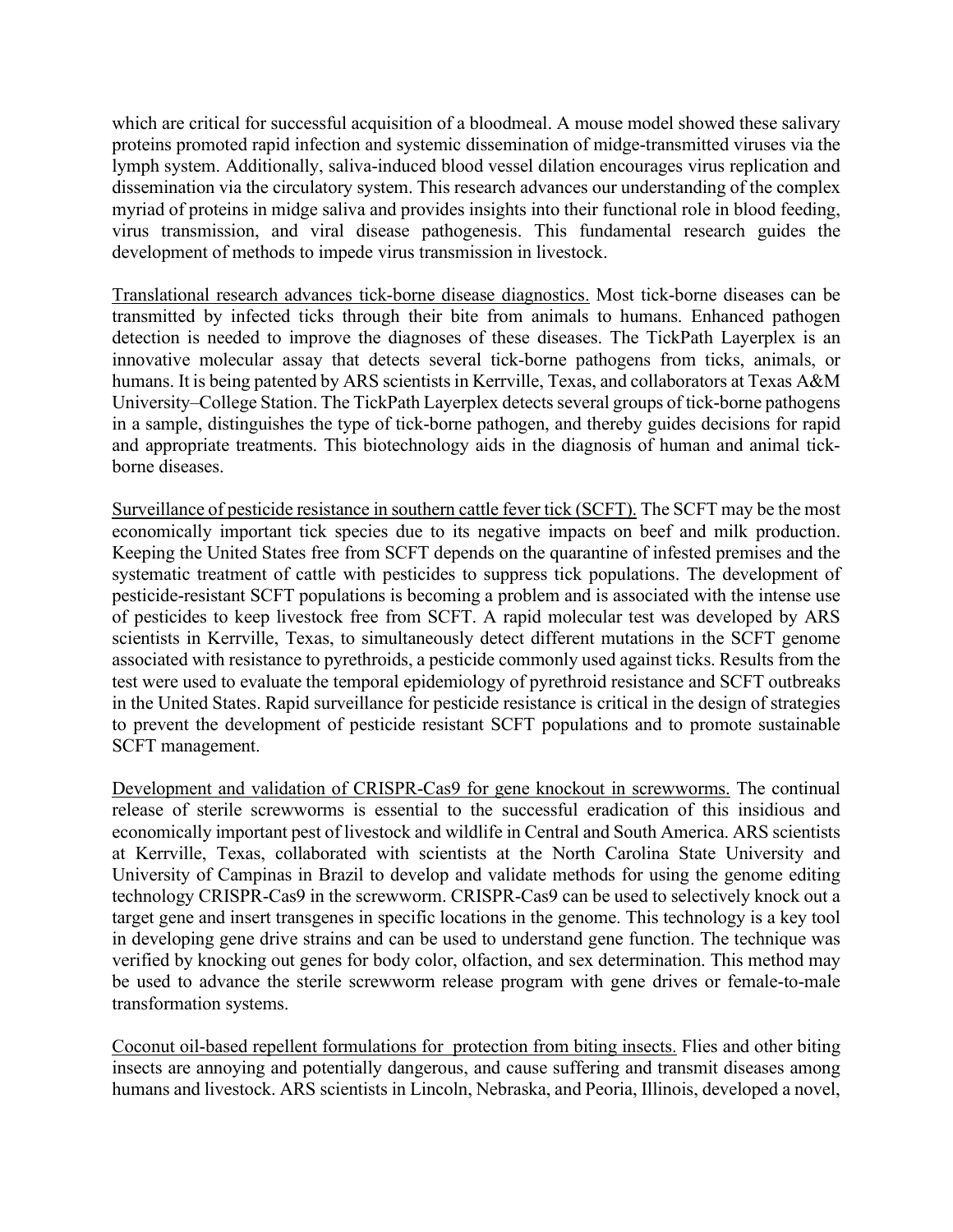which are critical for successful acquisition of a bloodmeal. A mouse model showed these salivary proteins promoted rapid infection and systemic dissemination of midge-transmitted viruses via the lymph system. Additionally, saliva-induced blood vessel dilation encourages virus replication and dissemination via the circulatory system. This research advances our understanding of the complex myriad of proteins in midge saliva and provides insights into their functional role in blood feeding, virus transmission, and viral disease pathogenesis. This fundamental research guides the development of methods to impede virus transmission in livestock.

Translational research advances tick-borne disease diagnostics. Most tick-borne diseases can be transmitted by infected ticks through their bite from animals to humans. Enhanced pathogen detection is needed to improve the diagnoses of these diseases. The TickPath Layerplex is an innovative molecular assay that detects several tick-borne pathogens from ticks, animals, or humans. It is being patented by ARS scientists in Kerrville, Texas, and collaborators at Texas A&M University–College Station. The TickPath Layerplex detects several groups of tick-borne pathogens in a sample, distinguishes the type of tick-borne pathogen, and thereby guides decisions for rapid and appropriate treatments. This biotechnology aids in the diagnosis of human and animal tickborne diseases.

Surveillance of pesticide resistance in southern cattle fever tick (SCFT). The SCFT may be the most economically important tick species due to its negative impacts on beef and milk production. Keeping the United States free from SCFT depends on the quarantine of infested premises and the systematic treatment of cattle with pesticides to suppress tick populations. The development of pesticide-resistant SCFT populations is becoming a problem and is associated with the intense use of pesticides to keep livestock free from SCFT. A rapid molecular test was developed by ARS scientists in Kerrville, Texas, to simultaneously detect different mutations in the SCFT genome associated with resistance to pyrethroids, a pesticide commonly used against ticks. Results from the test were used to evaluate the temporal epidemiology of pyrethroid resistance and SCFT outbreaks in the United States. Rapid surveillance for pesticide resistance is critical in the design of strategies to prevent the development of pesticide resistant SCFT populations and to promote sustainable SCFT management.

Development and validation of CRISPR-Cas9 for gene knockout in screwworms. The continual release of sterile screwworms is essential to the successful eradication of this insidious and economically important pest of livestock and wildlife in Central and South America. ARS scientists at Kerrville, Texas, collaborated with scientists at the North Carolina State University and University of Campinas in Brazil to develop and validate methods for using the genome editing technology CRISPR-Cas9 in the screwworm. CRISPR-Cas9 can be used to selectively knock out a target gene and insert transgenes in specific locations in the genome. This technology is a key tool in developing gene drive strains and can be used to understand gene function. The technique was verified by knocking out genes for body color, olfaction, and sex determination. This method may be used to advance the sterile screwworm release program with gene drives or female-to-male transformation systems.

Coconut oil-based repellent formulations for protection from biting insects. Flies and other biting insects are annoying and potentially dangerous, and cause suffering and transmit diseases among humans and livestock. ARS scientists in Lincoln, Nebraska, and Peoria, Illinois, developed a novel,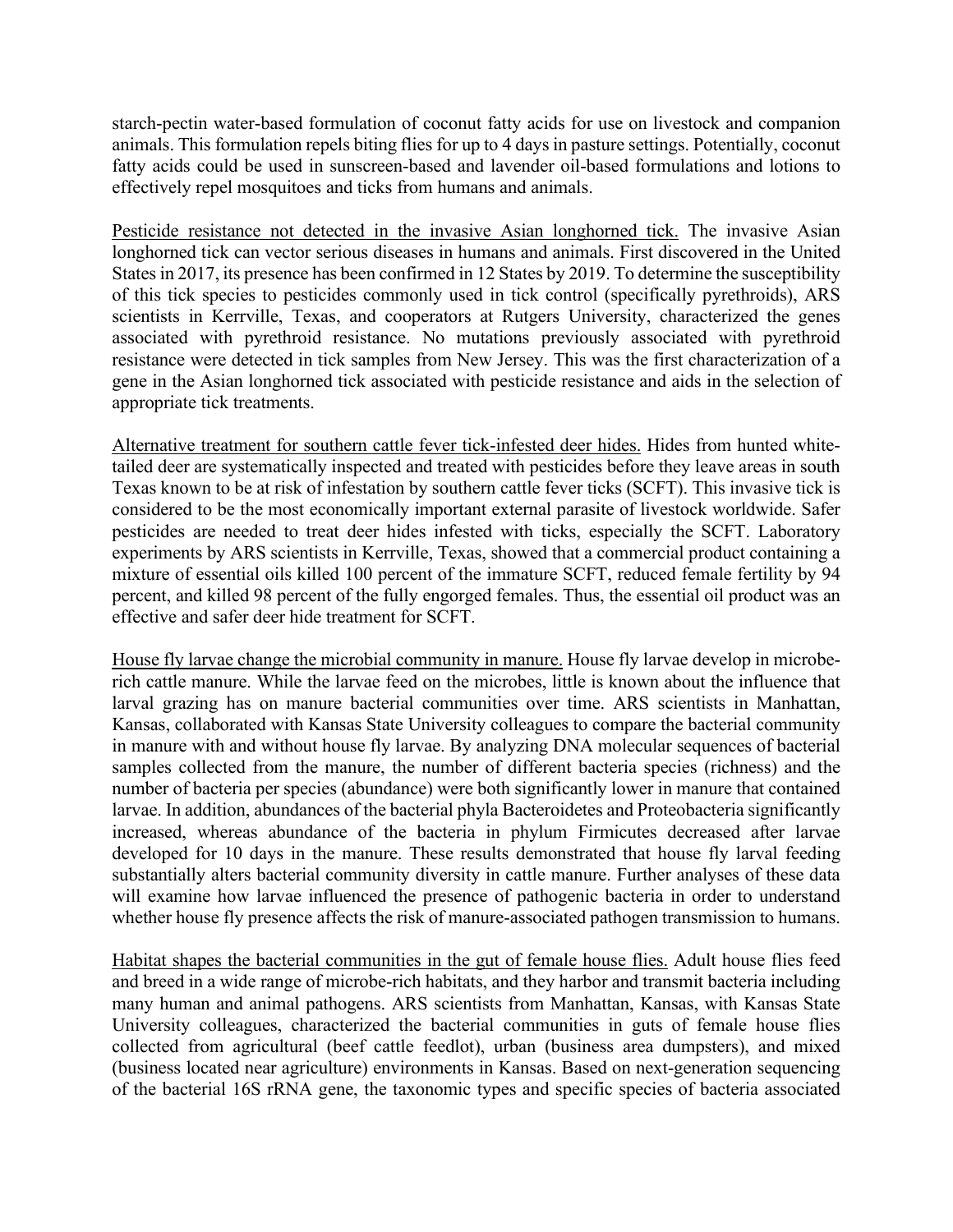starch-pectin water-based formulation of coconut fatty acids for use on livestock and companion animals. This formulation repels biting flies for up to 4 days in pasture settings. Potentially, coconut fatty acids could be used in sunscreen-based and lavender oil-based formulations and lotions to effectively repel mosquitoes and ticks from humans and animals.

Pesticide resistance not detected in the invasive Asian longhorned tick. The invasive Asian longhorned tick can vector serious diseases in humans and animals. First discovered in the United States in 2017, its presence has been confirmed in 12 States by 2019. To determine the susceptibility of this tick species to pesticides commonly used in tick control (specifically pyrethroids), ARS scientists in Kerrville, Texas, and cooperators at Rutgers University, characterized the genes associated with pyrethroid resistance. No mutations previously associated with pyrethroid resistance were detected in tick samples from New Jersey. This was the first characterization of a gene in the Asian longhorned tick associated with pesticide resistance and aids in the selection of appropriate tick treatments.

Alternative treatment for southern cattle fever tick-infested deer hides. Hides from hunted whitetailed deer are systematically inspected and treated with pesticides before they leave areas in south Texas known to be at risk of infestation by southern cattle fever ticks (SCFT). This invasive tick is considered to be the most economically important external parasite of livestock worldwide. Safer pesticides are needed to treat deer hides infested with ticks, especially the SCFT. Laboratory experiments by ARS scientists in Kerrville, Texas, showed that a commercial product containing a mixture of essential oils killed 100 percent of the immature SCFT, reduced female fertility by 94 percent, and killed 98 percent of the fully engorged females. Thus, the essential oil product was an effective and safer deer hide treatment for SCFT.

House fly larvae change the microbial community in manure. House fly larvae develop in microberich cattle manure. While the larvae feed on the microbes, little is known about the influence that larval grazing has on manure bacterial communities over time. ARS scientists in Manhattan, Kansas, collaborated with Kansas State University colleagues to compare the bacterial community in manure with and without house fly larvae. By analyzing DNA molecular sequences of bacterial samples collected from the manure, the number of different bacteria species (richness) and the number of bacteria per species (abundance) were both significantly lower in manure that contained larvae. In addition, abundances of the bacterial phyla Bacteroidetes and Proteobacteria significantly increased, whereas abundance of the bacteria in phylum Firmicutes decreased after larvae developed for 10 days in the manure. These results demonstrated that house fly larval feeding substantially alters bacterial community diversity in cattle manure. Further analyses of these data will examine how larvae influenced the presence of pathogenic bacteria in order to understand whether house fly presence affects the risk of manure-associated pathogen transmission to humans.

Habitat shapes the bacterial communities in the gut of female house flies. Adult house flies feed and breed in a wide range of microbe-rich habitats, and they harbor and transmit bacteria including many human and animal pathogens. ARS scientists from Manhattan, Kansas, with Kansas State University colleagues, characterized the bacterial communities in guts of female house flies collected from agricultural (beef cattle feedlot), urban (business area dumpsters), and mixed (business located near agriculture) environments in Kansas. Based on next-generation sequencing of the bacterial 16S rRNA gene, the taxonomic types and specific species of bacteria associated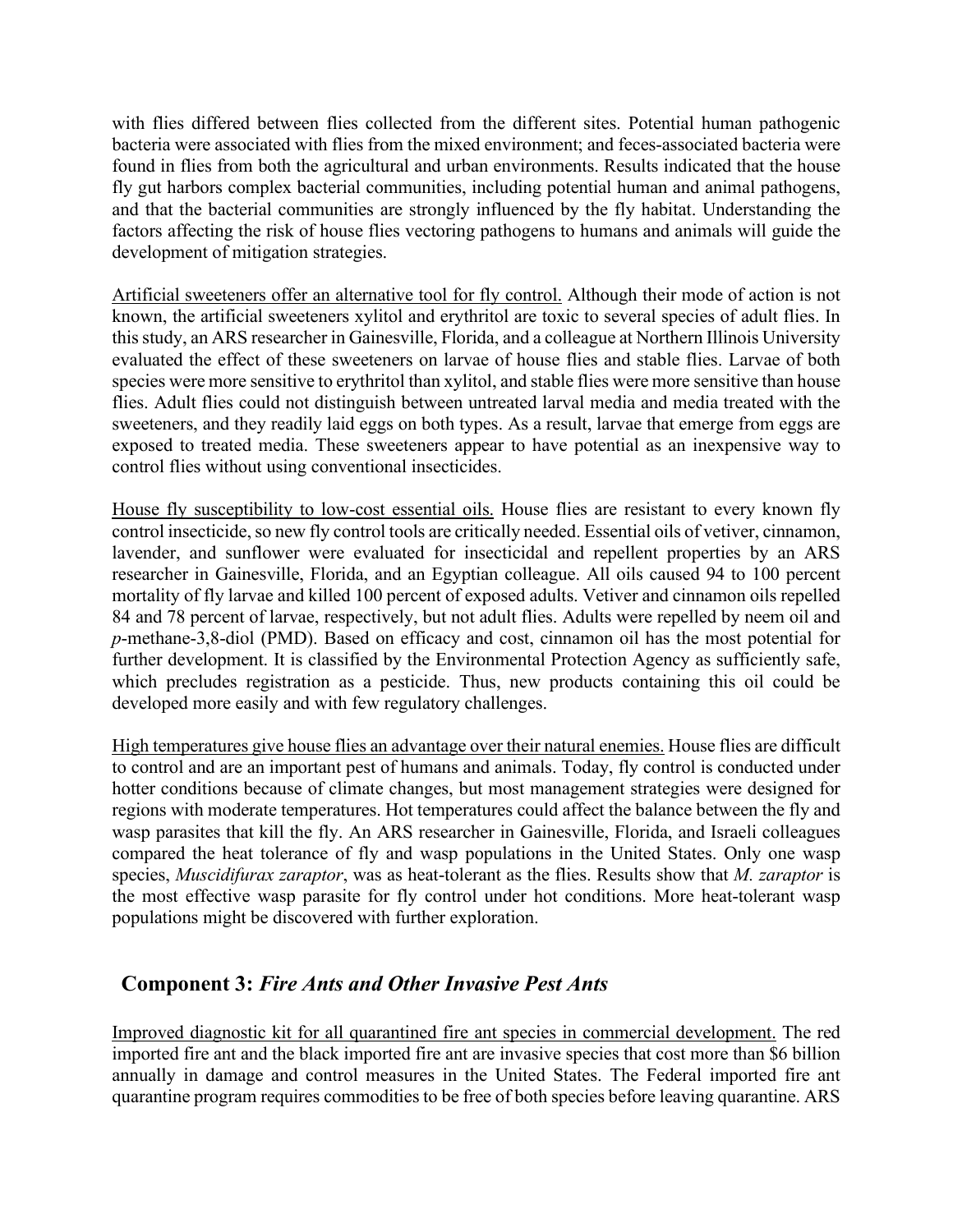with flies differed between flies collected from the different sites. Potential human pathogenic bacteria were associated with flies from the mixed environment; and feces-associated bacteria were found in flies from both the agricultural and urban environments. Results indicated that the house fly gut harbors complex bacterial communities, including potential human and animal pathogens, and that the bacterial communities are strongly influenced by the fly habitat. Understanding the factors affecting the risk of house flies vectoring pathogens to humans and animals will guide the development of mitigation strategies.

Artificial sweeteners offer an alternative tool for fly control. Although their mode of action is not known, the artificial sweeteners xylitol and erythritol are toxic to several species of adult flies. In this study, an ARS researcher in Gainesville, Florida, and a colleague at Northern Illinois University evaluated the effect of these sweeteners on larvae of house flies and stable flies. Larvae of both species were more sensitive to erythritol than xylitol, and stable flies were more sensitive than house flies. Adult flies could not distinguish between untreated larval media and media treated with the sweeteners, and they readily laid eggs on both types. As a result, larvae that emerge from eggs are exposed to treated media. These sweeteners appear to have potential as an inexpensive way to control flies without using conventional insecticides.

House fly susceptibility to low-cost essential oils. House flies are resistant to every known fly control insecticide, so new fly control tools are critically needed. Essential oils of vetiver, cinnamon, lavender, and sunflower were evaluated for insecticidal and repellent properties by an ARS researcher in Gainesville, Florida, and an Egyptian colleague. All oils caused 94 to 100 percent mortality of fly larvae and killed 100 percent of exposed adults. Vetiver and cinnamon oils repelled 84 and 78 percent of larvae, respectively, but not adult flies. Adults were repelled by neem oil and *p*-methane-3,8-diol (PMD). Based on efficacy and cost, cinnamon oil has the most potential for further development. It is classified by the Environmental Protection Agency as sufficiently safe, which precludes registration as a pesticide. Thus, new products containing this oil could be developed more easily and with few regulatory challenges.

High temperatures give house flies an advantage over their natural enemies. House flies are difficult to control and are an important pest of humans and animals. Today, fly control is conducted under hotter conditions because of climate changes, but most management strategies were designed for regions with moderate temperatures. Hot temperatures could affect the balance between the fly and wasp parasites that kill the fly. An ARS researcher in Gainesville, Florida, and Israeli colleagues compared the heat tolerance of fly and wasp populations in the United States. Only one wasp species, *Muscidifurax zaraptor*, was as heat-tolerant as the flies. Results show that *M. zaraptor* is the most effective wasp parasite for fly control under hot conditions. More heat-tolerant wasp populations might be discovered with further exploration.

# **Component 3:** *Fire Ants and Other Invasive Pest Ants*

Improved diagnostic kit for all quarantined fire ant species in commercial development. The red imported fire ant and the black imported fire ant are invasive species that cost more than \$6 billion annually in damage and control measures in the United States. The Federal imported fire ant quarantine program requires commodities to be free of both species before leaving quarantine. ARS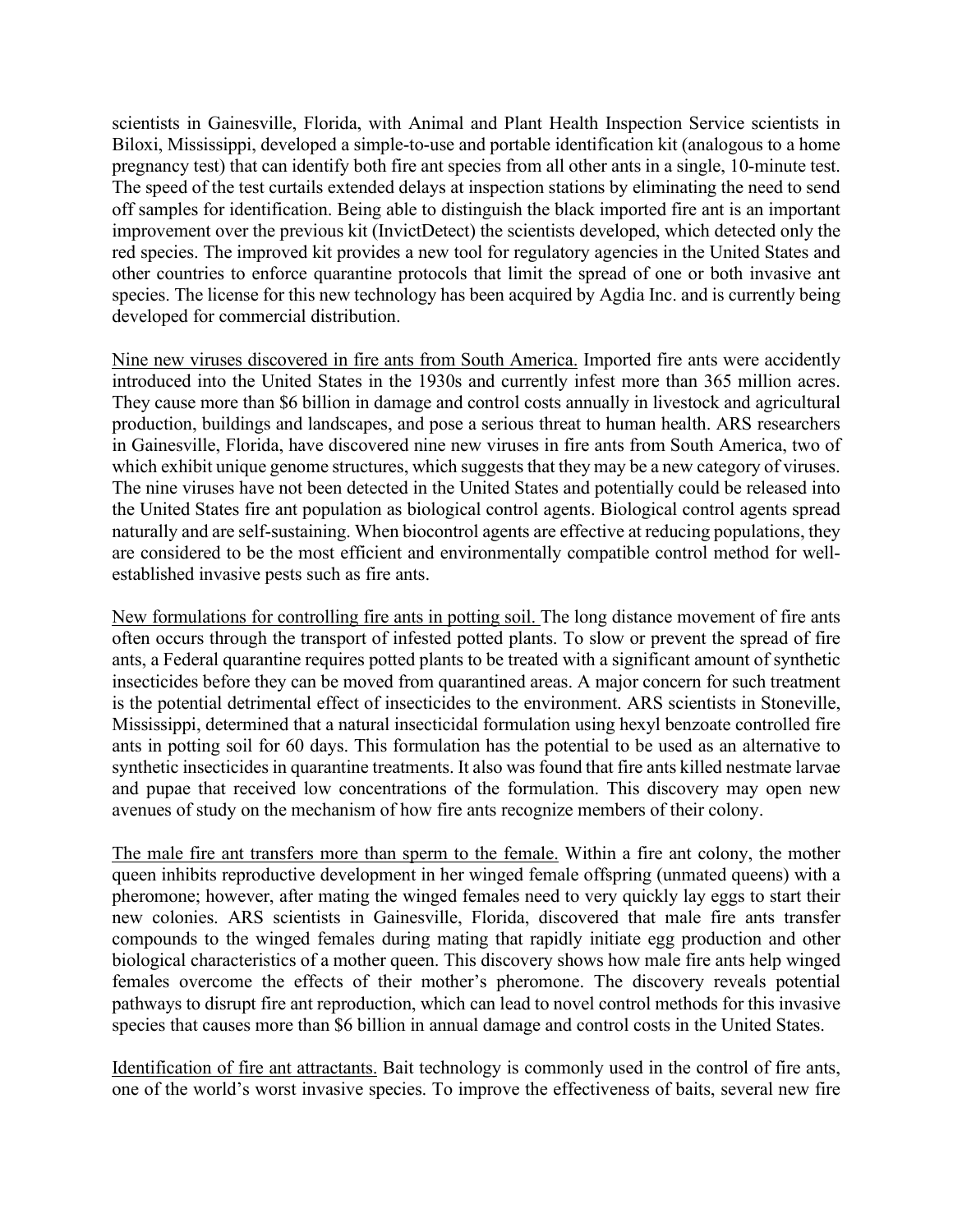scientists in Gainesville, Florida, with Animal and Plant Health Inspection Service scientists in Biloxi, Mississippi, developed a simple-to-use and portable identification kit (analogous to a home pregnancy test) that can identify both fire ant species from all other ants in a single, 10-minute test. The speed of the test curtails extended delays at inspection stations by eliminating the need to send off samples for identification. Being able to distinguish the black imported fire ant is an important improvement over the previous kit (InvictDetect) the scientists developed, which detected only the red species. The improved kit provides a new tool for regulatory agencies in the United States and other countries to enforce quarantine protocols that limit the spread of one or both invasive ant species. The license for this new technology has been acquired by Agdia Inc. and is currently being developed for commercial distribution.

Nine new viruses discovered in fire ants from South America. Imported fire ants were accidently introduced into the United States in the 1930s and currently infest more than 365 million acres. They cause more than \$6 billion in damage and control costs annually in livestock and agricultural production, buildings and landscapes, and pose a serious threat to human health. ARS researchers in Gainesville, Florida, have discovered nine new viruses in fire ants from South America, two of which exhibit unique genome structures, which suggests that they may be a new category of viruses. The nine viruses have not been detected in the United States and potentially could be released into the United States fire ant population as biological control agents. Biological control agents spread naturally and are self-sustaining. When biocontrol agents are effective at reducing populations, they are considered to be the most efficient and environmentally compatible control method for wellestablished invasive pests such as fire ants.

New formulations for controlling fire ants in potting soil. The long distance movement of fire ants often occurs through the transport of infested potted plants. To slow or prevent the spread of fire ants, a Federal quarantine requires potted plants to be treated with a significant amount of synthetic insecticides before they can be moved from quarantined areas. A major concern for such treatment is the potential detrimental effect of insecticides to the environment. ARS scientists in Stoneville, Mississippi, determined that a natural insecticidal formulation using hexyl benzoate controlled fire ants in potting soil for 60 days. This formulation has the potential to be used as an alternative to synthetic insecticides in quarantine treatments. It also was found that fire ants killed nestmate larvae and pupae that received low concentrations of the formulation. This discovery may open new avenues of study on the mechanism of how fire ants recognize members of their colony.

The male fire ant transfers more than sperm to the female. Within a fire ant colony, the mother queen inhibits reproductive development in her winged female offspring (unmated queens) with a pheromone; however, after mating the winged females need to very quickly lay eggs to start their new colonies. ARS scientists in Gainesville, Florida, discovered that male fire ants transfer compounds to the winged females during mating that rapidly initiate egg production and other biological characteristics of a mother queen. This discovery shows how male fire ants help winged females overcome the effects of their mother's pheromone. The discovery reveals potential pathways to disrupt fire ant reproduction, which can lead to novel control methods for this invasive species that causes more than \$6 billion in annual damage and control costs in the United States.

Identification of fire ant attractants. Bait technology is commonly used in the control of fire ants, one of the world's worst invasive species. To improve the effectiveness of baits, several new fire